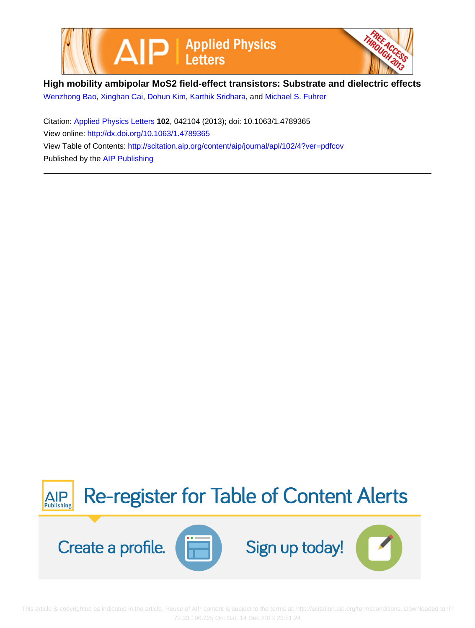



**High mobility ambipolar MoS2 field-effect transistors: Substrate and dielectric effects**

[Wenzhong Bao](http://scitation.aip.org/search?value1=Wenzhong+Bao&option1=author), [Xinghan Cai](http://scitation.aip.org/search?value1=Xinghan+Cai&option1=author), [Dohun Kim](http://scitation.aip.org/search?value1=Dohun+Kim&option1=author), [Karthik Sridhara,](http://scitation.aip.org/search?value1=Karthik+Sridhara&option1=author) and [Michael S. Fuhrer](http://scitation.aip.org/search?value1=Michael+S.+Fuhrer&option1=author)

Citation: [Applied Physics Letters](http://scitation.aip.org/content/aip/journal/apl?ver=pdfcov) **102**, 042104 (2013); doi: 10.1063/1.4789365 View online: <http://dx.doi.org/10.1063/1.4789365> View Table of Contents: <http://scitation.aip.org/content/aip/journal/apl/102/4?ver=pdfcov> Published by the [AIP Publishing](http://scitation.aip.org/content/aip?ver=pdfcov)



 This article is copyrighted as indicated in the article. Reuse of AIP content is subject to the terms at: http://scitation.aip.org/termsconditions. Downloaded to IP: 72.33.196.225 On: Sat, 14 Dec 2013 23:51:24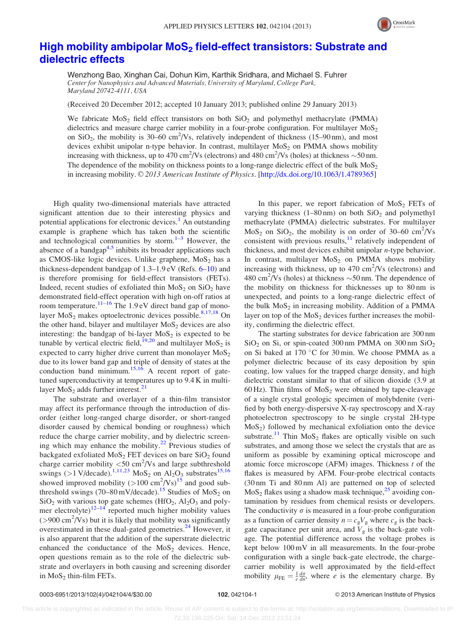

## High mobility ambipolar MoS<sub>2</sub> [field-effect transistors: Substrate and](http://dx.doi.org/10.1063/1.4789365) [dielectric effects](http://dx.doi.org/10.1063/1.4789365)

Wenzhong Bao, Xinghan Cai, Dohun Kim, Karthik Sridhara, and Michael S. Fuhrer Center for Nanophysics and Advanced Materials, University of Maryland, College Park, Maryland 20742-4111, USA

(Received 20 December 2012; accepted 10 January 2013; published online 29 January 2013)

We fabricate  $MOS<sub>2</sub>$  field effect transistors on both  $SiO<sub>2</sub>$  and polymethyl methacrylate (PMMA) dielectrics and measure charge carrier mobility in a four-probe configuration. For multilayer  $MoS<sub>2</sub>$ on  $SiO_2$ , the mobility is 30–60 cm<sup>2</sup>/Vs, relatively independent of thickness (15–90 nm), and most devices exhibit unipolar n-type behavior. In contrast, multilayer  $MoS<sub>2</sub>$  on PMMA shows mobility increasing with thickness, up to 470 cm<sup>2</sup>/Vs (electrons) and 480 cm<sup>2</sup>/Vs (holes) at thickness  $\sim$  50 nm. The dependence of the mobility on thickness points to a long-range dielectric effect of the bulk  $MoS<sub>2</sub>$ in increasing mobility. © 2013 American Institute of Physics. [\[http://dx.doi.org/10.1063/1.4789365](http://dx.doi.org/10.1063/1.4789365)]

High quality two-dimensional materials have attracted significant attention due to their interesting physics and potential applications for electronic devices.<sup>[1](#page-4-0)</sup> An outstanding example is graphene which has taken both the scientific and technological communities by storm. $1-3$  However, the absence of a bandgap $4.5$  inhibits its broader applications such as CMOS-like logic devices. Unlike graphene,  $MoS<sub>2</sub>$  has a thickness-dependent bandgap of  $1.3-1.9$  eV (Refs.  $6-10$ ) and is therefore promising for field-effect transistors (FETs). Indeed, recent studies of exfoliated thin  $MoS<sub>2</sub>$  on  $SiO<sub>2</sub>$  have demonstrated field-effect operation with high on-off ratios at room temperature.<sup>[11](#page-4-0)–[16](#page-4-0)</sup> The 1.9 eV direct band gap of monolayer  $MoS<sub>2</sub>$  makes optoelectronic devices possible.<sup>[8,17,18](#page-4-0)</sup> On the other hand, bilayer and multilayer  $MoS<sub>2</sub>$  devices are also interesting: the bandgap of bi-layer  $MoS<sub>2</sub>$  is expected to be tunable by vertical electric field,<sup>[19,20](#page-4-0)</sup> and multilayer  $MoS<sub>2</sub>$  is expected to carry higher drive current than monolayer  $MoS<sub>2</sub>$ due to its lower band gap and triple of density of states at the conduction band minimum.<sup>[15,16](#page-4-0)</sup> A recent report of gatetuned superconductivity at temperatures up to 9.4 K in multilayer  $MoS<sub>2</sub>$  adds further interest.<sup>[21](#page-4-0)</sup>

The substrate and overlayer of a thin-film transistor may affect its performance through the introduction of disorder (either long-ranged charge disorder, or short-ranged disorder caused by chemical bonding or roughness) which reduce the charge carrier mobility, and by dielectric screening which may enhance the mobility. $2^2$  Previous studies of backgated exfoliated  $MoS<sub>2</sub> FET$  devices on bare  $SiO<sub>2</sub>$  found charge carrier mobility  $\langle 50 \text{ cm}^2/\text{Vs}$  and large subthreshold swings (>1 V/decade).<sup>[1,11](#page-4-0),[23](#page-4-0)</sup> MoS<sub>2</sub> on Al<sub>2</sub>O<sub>3</sub> substrates<sup>[15,16](#page-4-0)</sup> showed improved mobility  $(>100 \text{ cm}^2/\text{Vs})^{15}$  $(>100 \text{ cm}^2/\text{Vs})^{15}$  $(>100 \text{ cm}^2/\text{Vs})^{15}$  and good sub-threshold swings (70–80 mV/decade).<sup>[15](#page-4-0)</sup> Studies of MoS<sub>2</sub> on  $SiO<sub>2</sub>$  with various top gate schemes (HfO<sub>2</sub>, Al<sub>2</sub>O<sub>3</sub> and polymer electrolyte) $12-14$  reported much higher mobility values  $( > 900 \text{ cm}^2/\text{Vs})$  but it is likely that mobility was significantly overestimated in these dual-gated geometries.<sup>[24](#page-4-0)</sup> However, it is also apparent that the addition of the superstrate dielectric enhanced the conductance of the  $MoS<sub>2</sub>$  devices. Hence, open questions remain as to the role of the dielectric substrate and overlayers in both causing and screening disorder in  $MoS<sub>2</sub>$  thin-film FETs.

In this paper, we report fabrication of  $MoS<sub>2</sub> FETs$  of varying thickness  $(1–80 \text{ nm})$  on both  $SiO<sub>2</sub>$  and polymethyl methacrylate (PMMA) dielectric substrates. For multilayer  $MoS<sub>2</sub>$  on SiO<sub>2</sub>, the mobility is on order of 30–60 cm<sup>2</sup>/Vs consistent with previous results, $^{11}$  $^{11}$  $^{11}$  relatively independent of thickness, and most devices exhibit unipolar n-type behavior. In contrast, multilayer  $MoS<sub>2</sub>$  on PMMA shows mobility increasing with thickness, up to  $470 \text{ cm}^2/\text{Vs}$  (electrons) and 480 cm<sup>2</sup>/Vs (holes) at thickness  $\sim$  50 nm. The dependence of the mobility on thickness for thicknesses up to 80 nm is unexpected, and points to a long-range dielectric effect of the bulk  $MoS<sub>2</sub>$  in increasing mobility. Addition of a PMMA layer on top of the  $MoS<sub>2</sub>$  devices further increases the mobility, confirming the dielectric effect.

The starting substrates for device fabrication are 300 nm  $SiO<sub>2</sub>$  on Si, or spin-coated 300 nm PMMA on 300 nm  $SiO<sub>2</sub>$ on Si baked at 170  $\degree$ C for 30 min. We choose PMMA as a polymer dielectric because of its easy deposition by spin coating, low values for the trapped charge density, and high dielectric constant similar to that of silicon dioxide (3.9 at 60 Hz). Thin films of  $MoS<sub>2</sub>$  were obtained by tape-cleavage of a single crystal geologic specimen of molybdenite (verified by both energy-dispersive X-ray spectroscopy and X-ray photoelectron spectroscopy to be single crystal 2H-type  $MoS<sub>2</sub>$ ) followed by mechanical exfoliation onto the device substrate.<sup>11</sup> Thin  $MoS_2$  flakes are optically visible on such substrates, and among those we select the crystals that are as uniform as possible by examining optical microscope and atomic force microscope (AFM) images. Thickness  $t$  of the flakes is measured by AFM. Four-probe electrical contacts (30 nm Ti and 80 nm Al) are patterned on top of selected  $MoS<sub>2</sub>$  flakes using a shadow mask technique,<sup>[25](#page-4-0)</sup> avoiding contamination by residues from chemical resists or developers. The conductivity  $\sigma$  is measured in a four-probe configuration as a function of carrier density  $n = c_gV_g$  where  $c_g$  is the backgate capacitance per unit area, and  $V<sub>g</sub>$  is the back-gate voltage. The potential difference across the voltage probes is kept below 100 mV in all measurements. In the four-probe configuration with a single back-gate electrode, the chargecarrier mobility is well approximated by the field-effect mobility  $\mu_{FE} = \frac{1}{e} \frac{d\sigma}{dn}$ , where *e* is the elementary charge. By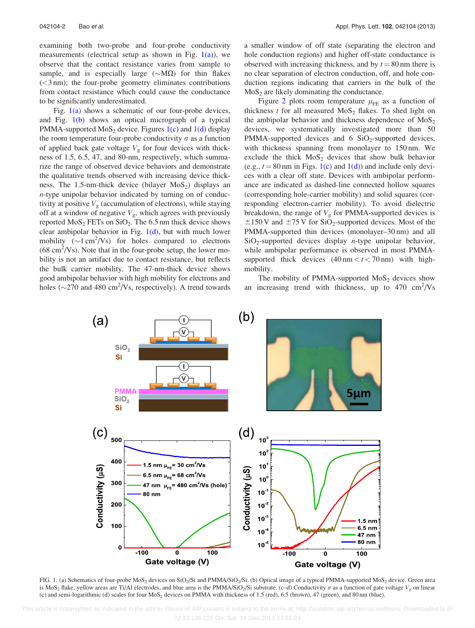examining both two-probe and four-probe conductivity measurements (electrical setup as shown in Fig.  $1(a)$ ), we observe that the contact resistance varies from sample to sample, and is especially large  $(\sim M\Omega)$  for thin flakes (<3 nm); the four-probe geometry eliminates contributions from contact resistance which could cause the conductance to be significantly underestimated.

Fig.  $1(a)$  shows a schematic of our four-probe devices, and Fig. 1(b) shows an optical micrograph of a typical PMMA-supported  $MoS<sub>2</sub>$  device. Figures 1(c) and 1(d) display the room temperature four-probe conductivity  $\sigma$  as a function of applied back gate voltage  $V_g$  for four devices with thickness of 1.5, 6.5, 47, and 80-nm, respectively, which summarize the range of observed device behaviors and demonstrate the qualitative trends observed with increasing device thickness. The 1.5-nm-thick device (bilayer  $MoS<sub>2</sub>$ ) displays an n-type unipolar behavior indicated by turning on of conductivity at positive  $V<sub>g</sub>$  (accumulation of electrons), while staying off at a window of negative  $V_g$ , which agrees with previously reported  $MoS<sub>2</sub> FETs$  on  $SiO<sub>2</sub>$ . The 6.5 nm thick device shows clear ambipolar behavior in Fig.  $1(d)$ , but with much lower mobility  $(\sim 1 \text{ cm}^2/\text{Vs})$  for holes compared to electrons  $(68 \text{ cm}^2/\text{Vs})$ . Note that in the four-probe setup, the lower mobility is not an artifact due to contact resistance, but reflects the bulk carrier mobility. The 47-nm-thick device shows good ambipolar behavior with high mobility for electrons and holes ( $\sim$ 270 and 480 cm<sup>2</sup>/Vs, respectively). A trend towards

a smaller window of off state (separating the electron and hole conduction regions) and higher off-state conductance is observed with increasing thickness, and by  $t = 80$  nm there is no clear separation of electron conduction, off, and hole conduction regions indicating that carriers in the bulk of the  $MoS<sub>2</sub>$  are likely dominating the conductance.

Figure [2](#page-3-0) plots room temperature  $\mu_{FE}$  as a function of thickness  $t$  for all measured  $MoS<sub>2</sub>$  flakes. To shed light on the ambipolar behavior and thickness dependence of  $MoS<sub>2</sub>$ devices, we systematically investigated more than 50 PMMA-supported devices and 6  $SiO<sub>2</sub>$ -supported devices, with thickness spanning from monolayer to 150 nm. We exclude the thick  $MoS<sub>2</sub>$  devices that show bulk behavior (e.g.,  $t = 80$  nm in Figs. 1(c) and 1(d)) and include only devices with a clear off state. Devices with ambipolar performance are indicated as dashed-line connected hollow squares (corresponding hole-carrier mobility) and solid squares (corresponding electron-carrier mobility). To avoid dielectric breakdown, the range of  $V<sub>g</sub>$  for PMMA-supported devices is  $\pm$ 150 V and  $\pm$ 75 V for SiO<sub>2</sub>-supported devices. Most of the PMMA-supported thin devices (monolayer–30 nm) and all  $SiO<sub>2</sub>$ -supported devices display *n*-type unipolar behavior, while ambipolar performance is observed in most PMMAsupported thick devices  $(40 \text{ nm} < t < 70 \text{ nm})$  with highmobility.

The mobility of PMMA-supported  $MoS<sub>2</sub>$  devices show an increasing trend with thickness, up to  $470 \text{ cm}^2/\text{Vs}$ 



FIG. 1. (a) Schematics of four-probe MoS<sub>2</sub> devices on SiO<sub>2</sub>/Si and PMMA/SiO<sub>2</sub>/Si. (b) Optical image of a typical PMMA-supported MoS<sub>2</sub> device. Green area is MoS<sub>2</sub> flake, yellow areas are Ti/Al electrodes, and blue area is the PMMA/SiO<sub>2</sub>/Si substrate. (c–d) Conductivity  $\sigma$  as a function of gate voltage  $V_g$  on linear (c) and semi-logarithmic (d) scales for four MoS<sub>2</sub> devices on PMMA with thickness of 1.5 (red), 6.5 (brown), 47 (green), and 80 nm (blue).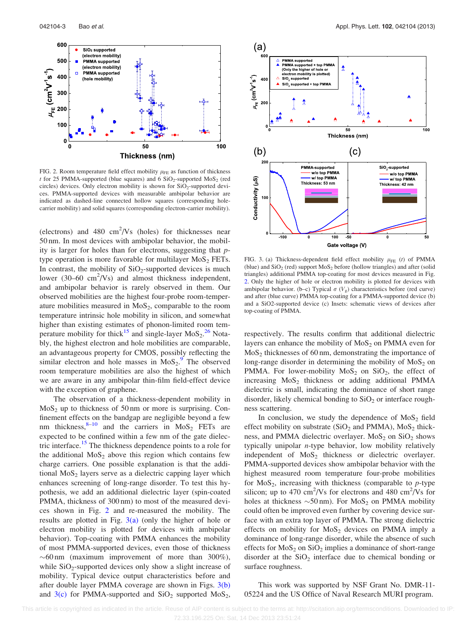<span id="page-3-0"></span>

FIG. 2. Room temperature field effect mobility  $\mu_{FE}$  as function of thickness t for 25 PMMA-supported (blue squares) and 6  $SiO<sub>2</sub>$ -supported MoS<sub>2</sub> (red circles) devices. Only electron mobility is shown for  $SiO<sub>2</sub>$ -supported devices. PMMA-supported devices with measurable ambipolar behavior are indicated as dashed-line connected hollow squares (corresponding holecarrier mobility) and solid squares (corresponding electron-carrier mobility).

(electrons) and  $480 \text{ cm}^2/\text{Vs}$  (holes) for thicknesses near 50 nm. In most devices with ambipolar behavior, the mobility is larger for holes than for electrons, suggesting that ptype operation is more favorable for multilayer  $MoS<sub>2</sub> FETs.$ In contrast, the mobility of  $SiO<sub>2</sub>$ -supported devices is much lower  $(30-60 \text{ cm}^2/\text{Vs})$  and almost thickness independent, and ambipolar behavior is rarely observed in them. Our observed mobilities are the highest four-probe room-temperature mobilities measured in  $MoS<sub>2</sub>$ , comparable to the room temperature intrinsic hole mobility in silicon, and somewhat higher than existing estimates of phonon-limited room tem-perature mobility for thick<sup>[15](#page-4-0)</sup> and single-layer  $M_0S_2$ <sup>[26](#page-4-0)</sup> Notably, the highest electron and hole mobilities are comparable, an advantageous property for CMOS, possibly reflecting the similar electron and hole masses in  $M_0S_2$ .<sup>[9](#page-4-0)</sup> The observed room temperature mobilities are also the highest of which we are aware in any ambipolar thin-film field-effect device with the exception of graphene.

The observation of a thickness-dependent mobility in  $MoS<sub>2</sub>$  up to thickness of 50 nm or more is surprising. Confinement effects on the bandgap are negligible beyond a few nm thickness, $8-10$  and the carriers in  $MoS<sub>2</sub>$  FETs are expected to be confined within a few nm of the gate dielec-tric interface.<sup>[15](#page-4-0)</sup> The thickness dependence points to a role for the additional  $MoS<sub>2</sub>$  above this region which contains few charge carriers. One possible explanation is that the additional  $MoS<sub>2</sub>$  layers serve as a dielectric capping layer which enhances screening of long-range disorder. To test this hypothesis, we add an additional dielectric layer (spin-coated PMMA, thickness of 300 nm) to most of the measured devices shown in Fig. 2 and re-measured the mobility. The results are plotted in Fig.  $3(a)$  (only the higher of hole or electron mobility is plotted for devices with ambipolar behavior). Top-coating with PMMA enhances the mobility of most PMMA-supported devices, even those of thickness  $\sim 60$  nm (maximum improvement of more than 300%), while  $SiO<sub>2</sub>$ -supported devices only show a slight increase of mobility. Typical device output characteristics before and after double layer PMMA coverage are shown in Figs.  $3(b)$ and  $3(c)$  for PMMA-supported and  $SiO<sub>2</sub>$  supported MoS<sub>2</sub>,



FIG. 3. (a) Thickness-dependent field effect mobility  $\mu_{FE}$  (t) of PMMA (blue) and  $SiO<sub>2</sub>$  (red) support  $MoS<sub>2</sub>$  before (hollow triangles) and after (solid triangles) additional PMMA top-coating for most devices measured in Fig. 2. Only the higher of hole or electron mobility is plotted for devices with ambipolar behavior. (b–c) Typical  $\sigma$  (V<sub>g</sub>) characteristics before (red curve) and after (blue curve) PMMA top-coating for a PMMA-supported device (b) and a SiO2-supported device (c) Insets: schematic views of devices after top-coating of PMMA.

respectively. The results confirm that additional dielectric layers can enhance the mobility of  $MoS<sub>2</sub>$  on PMMA even for  $MoS<sub>2</sub>$  thicknesses of 60 nm, demonstrating the importance of long-range disorder in determining the mobility of  $MoS<sub>2</sub>$  on PMMA. For lower-mobility  $MoS<sub>2</sub>$  on  $SiO<sub>2</sub>$ , the effect of increasing  $MoS<sub>2</sub>$  thickness or adding additional PMMA dielectric is small, indicating the dominance of short range disorder, likely chemical bonding to  $SiO<sub>2</sub>$  or interface roughness scattering.

In conclusion, we study the dependence of  $MoS<sub>2</sub>$  field effect mobility on substrate  $(SiO<sub>2</sub>$  and PMMA), MoS<sub>2</sub> thickness, and PMMA dielectric overlayer.  $MoS<sub>2</sub>$  on  $SiO<sub>2</sub>$  shows typically unipolar n-type behavior, low mobility relatively independent of  $MoS<sub>2</sub>$  thickness or dielectric overlayer. PMMA-supported devices show ambipolar behavior with the highest measured room temperature four-probe mobilities for  $MoS<sub>2</sub>$ , increasing with thickness (comparable to *p*-type silicon; up to 470  $\text{cm}^2/\text{Vs}$  for electrons and 480  $\text{cm}^2/\text{Vs}$  for holes at thickness  $\sim 50 \text{ nm}$ ). For MoS<sub>2</sub> on PMMA mobility could often be improved even further by covering device surface with an extra top layer of PMMA. The strong dielectric effects on mobility for  $MoS<sub>2</sub>$  devices on PMMA imply a dominance of long-range disorder, while the absence of such effects for  $MoS<sub>2</sub>$  on  $SiO<sub>2</sub>$  implies a dominance of short-range disorder at the  $SiO<sub>2</sub>$  interface due to chemical bonding or surface roughness.

This work was supported by NSF Grant No. DMR-11- 05224 and the US Office of Naval Research MURI program.